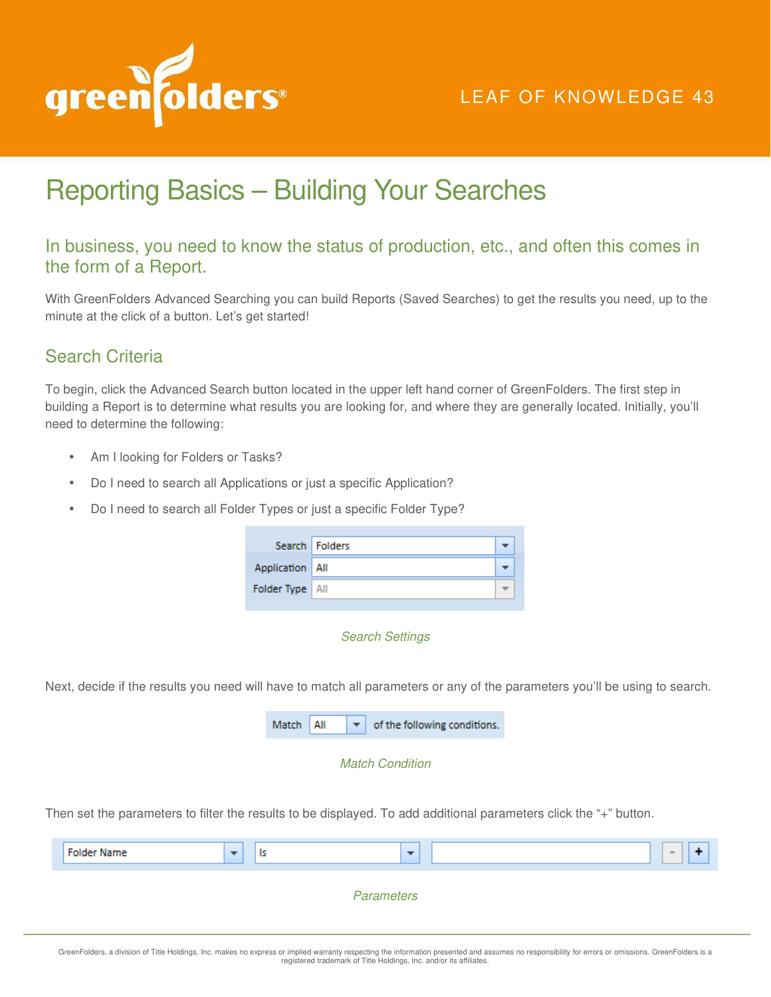

## LEAF OF KNOWLEDGE 43

# Reporting Basics – Building Your Searches

## In business, you need to know the status of production, etc., and often this comes in the form of a Report.

With GreenFolders Advanced Searching you can build Reports (Saved Searches) to get the results you need, up to the minute at the click of a button. Let's get started!

## Search Criteria

To begin, click the Advanced Search button located in the upper left hand corner of GreenFolders. The first step in building a Report is to determine what results you are looking for, and where they are generally located. Initially, you'll need to determine the following:

- Am I looking for Folders or Tasks?
- Do I need to search all Applications or just a specific Application?
- Do I need to search all Folder Types or just a specific Folder Type?

|                   | Search   Folders |  |
|-------------------|------------------|--|
| Application   All |                  |  |
| Folder Type   All |                  |  |

#### Search Settings

Next, decide if the results you need will have to match all parameters or any of the parameters you'll be using to search.

| Match   All |  | of the following conditions. |
|-------------|--|------------------------------|
|             |  |                              |

#### Match Condition

Then set the parameters to filter the results to be displayed. To add additional parameters click the "+" button.

| <b>Folder Name</b> | ls.<br>$\overline{\phantom{a}}$ | $\overline{\phantom{a}}$ | $\overline{\phantom{a}}$ |  |  |  |  |
|--------------------|---------------------------------|--------------------------|--------------------------|--|--|--|--|
| <b>Parameters</b>  |                                 |                          |                          |  |  |  |  |